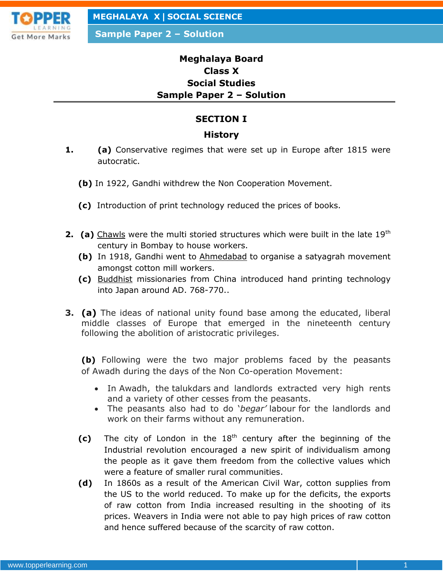

**Sample Paper 2 – Solution**

# **Meghalaya Board Class X Social Studies Sample Paper 2 – Solution**

### **SECTION I**

#### **History**

- **1. (a)** Conservative regimes that were set up in Europe after 1815 were autocratic.
	- **(b)** In 1922, Gandhi withdrew the Non Cooperation Movement.
	- **(c)** Introduction of print technology reduced the prices of books.
- **2.** (a) Chawls were the multi storied structures which were built in the late 19<sup>th</sup> century in Bombay to house workers.
	- **(b)** In 1918, Gandhi went to Ahmedabad to organise a satyagrah movement amongst cotton mill workers.
	- **(c)** Buddhist missionaries from China introduced hand printing technology into Japan around AD. 768-770..
- **3. (a)** The ideas of national unity found base among the educated, liberal middle classes of Europe that emerged in the nineteenth century following the abolition of aristocratic privileges.

**(b)** Following were the two major problems faced by the peasants of Awadh during the days of the Non Co-operation Movement:

- In Awadh, the talukdars and landlords extracted very high rents and a variety of other cesses from the peasants.
- The peasants also had to do '*begar'* labour for the landlords and work on their farms without any remuneration.
- **(c)** The city of London in the 18th century after the beginning of the Industrial revolution encouraged a new spirit of individualism among the people as it gave them freedom from the collective values which were a feature of smaller rural communities.
- **(d)** In 1860s as a result of the American Civil War, cotton supplies from the US to the world reduced. To make up for the deficits, the exports of raw cotton from India increased resulting in the shooting of its prices. Weavers in India were not able to pay high prices of raw cotton and hence suffered because of the scarcity of raw cotton.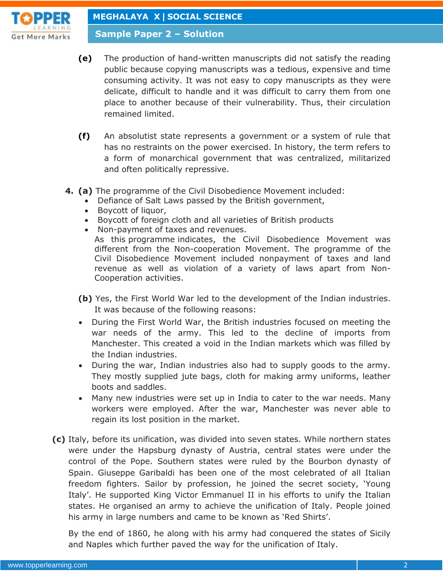

**Sample Paper 2 – Solution**

- **(e)** The production of hand-written manuscripts did not satisfy the reading public because copying manuscripts was a tedious, expensive and time consuming activity. It was not easy to copy manuscripts as they were delicate, difficult to handle and it was difficult to carry them from one place to another because of their vulnerability. Thus, their circulation remained limited.
- **(f)** An absolutist state represents a government or a system of rule that has no restraints on the power exercised. In history, the term refers to a form of monarchical government that was centralized, militarized and often politically repressive.
- **4. (a)** The programme of the Civil Disobedience Movement included:
	- Defiance of Salt Laws passed by the British government,
	- Boycott of liquor,
	- Boycott of foreign cloth and all varieties of British products
	- Non-payment of taxes and revenues.

As this programme indicates, the Civil Disobedience Movement was different from the Non-cooperation Movement. The programme of the Civil Disobedience Movement included nonpayment of taxes and land revenue as well as violation of a variety of laws apart from Non-Cooperation activities.

- **(b)** Yes, the First World War led to the development of the Indian industries. It was because of the following reasons:
- During the First World War, the British industries focused on meeting the war needs of the army. This led to the decline of imports from Manchester. This created a void in the Indian markets which was filled by the Indian industries.
- During the war, Indian industries also had to supply goods to the army. They mostly supplied jute bags, cloth for making army uniforms, leather boots and saddles.
- Many new industries were set up in India to cater to the war needs. Many workers were employed. After the war, Manchester was never able to regain its lost position in the market.
- **(c)** Italy, before its unification, was divided into seven states. While northern states were under the Hapsburg dynasty of Austria, central states were under the control of the Pope. Southern states were ruled by the Bourbon dynasty of Spain. Giuseppe Garibaldi has been one of the most celebrated of all Italian freedom fighters. Sailor by profession, he joined the secret society, 'Young Italy'. He supported King Victor Emmanuel II in his efforts to unify the Italian states. He organised an army to achieve the unification of Italy. People joined his army in large numbers and came to be known as 'Red Shirts'.

By the end of 1860, he along with his army had conquered the states of Sicily and Naples which further paved the way for the unification of Italy.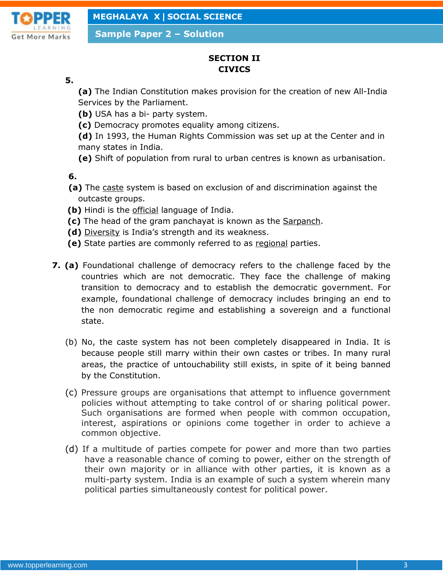

**Sample Paper 2 – Solution**

## **SECTION II CIVICS**

**5.**

**(a)** The Indian Constitution makes provision for the creation of new All-India Services by the Parliament.

- **(b)** USA has a bi- party system.
- **(c)** Democracy promotes equality among citizens.

**(d)** In 1993, the Human Rights Commission was set up at the Center and in many states in India.

**(e)** Shift of population from rural to urban centres is known as urbanisation.

**6.**

- **(a)** The caste system is based on exclusion of and discrimination against the outcaste groups.
- **(b)** Hindi is the official language of India.
- **(c)** The head of the gram panchayat is known as the Sarpanch.
- **(d)** Diversity is India's strength and its weakness.
- **(e)** State parties are commonly referred to as regional parties.
- **7. (a)** Foundational challenge of democracy refers to the challenge faced by the countries which are not democratic. They face the challenge of making transition to democracy and to establish the democratic government. For example, foundational challenge of democracy includes bringing an end to the non democratic regime and establishing a sovereign and a functional state.
	- (b) No, the caste system has not been completely disappeared in India. It is because people still marry within their own castes or tribes. In many rural areas, the practice of untouchability still exists, in spite of it being banned by the Constitution.
	- (c) Pressure groups are organisations that attempt to influence government policies without attempting to take control of or sharing political power. Such organisations are formed when people with common occupation, interest, aspirations or opinions come together in order to achieve a common objective.
	- (d) If a multitude of parties compete for power and more than two parties have a reasonable chance of coming to power, either on the strength of their own majority or in alliance with other parties, it is known as a multi-party system. India is an example of such a system wherein many political parties simultaneously contest for political power.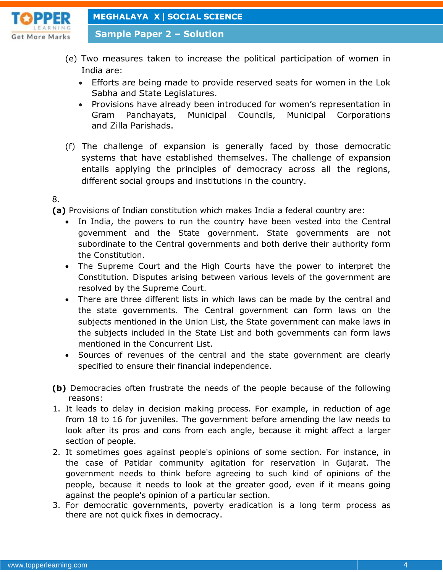

**Sample Paper 2 – Solution**

- (e) Two measures taken to increase the political participation of women in India are:
	- Efforts are being made to provide reserved seats for women in the Lok Sabha and State Legislatures.
	- Provisions have already been introduced for women's representation in Gram Panchayats, Municipal Councils, Municipal Corporations and Zilla Parishads.
- (f) The challenge of expansion is generally faced by those democratic systems that have established themselves. The challenge of expansion entails applying the principles of democracy across all the regions, different social groups and institutions in the country.
- 8.

**(a)** Provisions of Indian constitution which makes India a federal country are:

- In India, the powers to run the country have been vested into the Central government and the State government. State governments are not subordinate to the Central governments and both derive their authority form the Constitution.
- The Supreme Court and the High Courts have the power to interpret the Constitution. Disputes arising between various levels of the government are resolved by the Supreme Court.
- There are three different lists in which laws can be made by the central and the state governments. The Central government can form laws on the subjects mentioned in the Union List, the State government can make laws in the subjects included in the State List and both governments can form laws mentioned in the Concurrent List.
- Sources of revenues of the central and the state government are clearly specified to ensure their financial independence.
- **(b)** Democracies often frustrate the needs of the people because of the following reasons:
- 1. It leads to delay in decision making process. For example, in reduction of age from 18 to 16 for juveniles. The government before amending the law needs to look after its pros and cons from each angle, because it might affect a larger section of people.
- 2. It sometimes goes against people's opinions of some section. For instance, in the case of Patidar community agitation for reservation in Gujarat. The government needs to think before agreeing to such kind of opinions of the people, because it needs to look at the greater good, even if it means going against the people's opinion of a particular section.
- 3. For democratic governments, poverty eradication is a long term process as there are not quick fixes in democracy.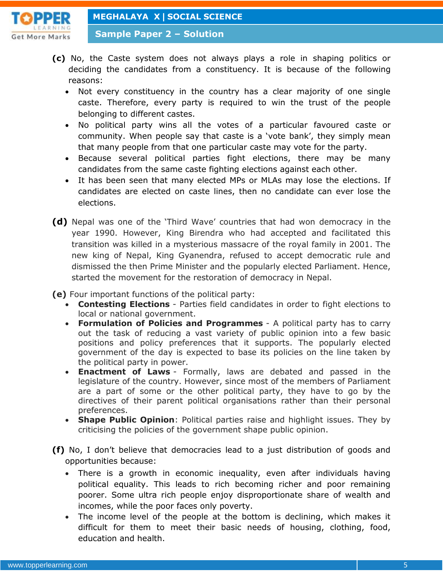

**Sample Paper 2 – Solution**

- **(c)** No, the Caste system does not always plays a role in shaping politics or deciding the candidates from a constituency. It is because of the following reasons:
	- Not every constituency in the country has a clear majority of one single caste. Therefore, every party is required to win the trust of the people belonging to different castes.
	- No political party wins all the votes of a particular favoured caste or community. When people say that caste is a 'vote bank', they simply mean that many people from that one particular caste may vote for the party.
	- Because several political parties fight elections, there may be many candidates from the same caste fighting elections against each other.
	- It has been seen that many elected MPs or MLAs may lose the elections. If candidates are elected on caste lines, then no candidate can ever lose the elections.
- **(d)** Nepal was one of the 'Third Wave' countries that had won democracy in the year 1990. However, King Birendra who had accepted and facilitated this transition was killed in a mysterious massacre of the royal family in 2001. The new king of Nepal, King Gyanendra, refused to accept democratic rule and dismissed the then Prime Minister and the popularly elected Parliament. Hence, started the movement for the restoration of democracy in Nepal.

**(e)** Four important functions of the political party:

- **Contesting Elections** Parties field candidates in order to fight elections to local or national government.
- **Formulation of Policies and Programmes** A political party has to carry out the task of reducing a vast variety of public opinion into a few basic positions and policy preferences that it supports. The popularly elected government of the day is expected to base its policies on the line taken by the political party in power.
- **Enactment of Laws** Formally, laws are debated and passed in the legislature of the country. However, since most of the members of Parliament are a part of some or the other political party, they have to go by the directives of their parent political organisations rather than their personal preferences.
- **Shape Public Opinion**: Political parties raise and highlight issues. They by criticising the policies of the government shape public opinion.
- **(f)** No, I don't believe that democracies lead to a just distribution of goods and opportunities because:
	- There is a growth in economic inequality, even after individuals having political equality. This leads to rich becoming richer and poor remaining poorer. Some ultra rich people enjoy disproportionate share of wealth and incomes, while the poor faces only poverty.
	- The income level of the people at the bottom is declining, which makes it difficult for them to meet their basic needs of housing, clothing, food, education and health.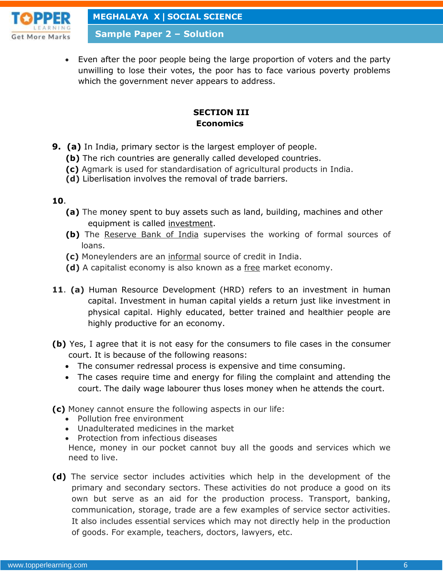

**Sample Paper 2 – Solution**

 Even after the poor people being the large proportion of voters and the party unwilling to lose their votes, the poor has to face various poverty problems which the government never appears to address.

### **SECTION III Economics**

- **9. (a)** In India, primary sector is the largest employer of people.
	- **(b)** The rich countries are generally called developed countries.
	- **(c)** Agmark is used for standardisation of agricultural products in India.
	- **(d)** Liberlisation involves the removal of trade barriers.

#### **10**.

- **(a)** The money spent to buy assets such as land, building, machines and other equipment is called investment.
- **(b)** The Reserve Bank of India supervises the working of formal sources of loans.
- **(c)** Moneylenders are an informal source of credit in India.
- **(d)** A capitalist economy is also known as a free market economy.
- **11**. **(a)** Human Resource Development (HRD) refers to an investment in human capital. Investment in human capital yields a return just like investment in physical capital. Highly educated, better trained and healthier people are highly productive for an economy.
- **(b)** Yes, I agree that it is not easy for the consumers to file cases in the consumer court. It is because of the following reasons:
	- The consumer redressal process is expensive and time consuming.
	- The cases require time and energy for filing the complaint and attending the court. The daily wage labourer thus loses money when he attends the court.
- **(c)** Money cannot ensure the following aspects in our life:
	- Pollution free environment
	- Unadulterated medicines in the market
	- Protection from infectious diseases

Hence, money in our pocket cannot buy all the goods and services which we need to live.

**(d)** The service sector includes activities which help in the development of the primary and secondary sectors. These activities do not produce a good on its own but serve as an aid for the production process. Transport, banking, communication, storage, trade are a few examples of service sector activities. It also includes essential services which may not directly help in the production of goods. For example, teachers, doctors, lawyers, etc.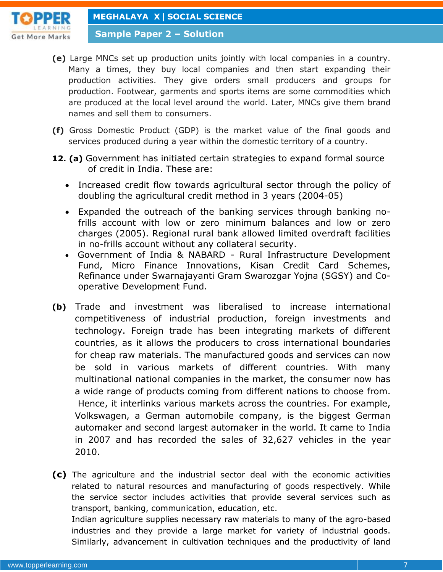

**Sample Paper 2 – Solution**

- **(e)** Large MNCs set up production units jointly with local companies in a country. Many a times, they buy local companies and then start expanding their production activities. They give orders small producers and groups for production. Footwear, garments and sports items are some commodities which are produced at the local level around the world. Later, MNCs give them brand names and sell them to consumers.
- **(f)** Gross Domestic Product (GDP) is the market value of the final goods and services produced during a year within the domestic territory of a country.
- **12. (a)** Government has initiated certain strategies to expand formal source of credit in India. These are:
	- Increased credit flow towards agricultural sector through the policy of doubling the agricultural credit method in 3 years (2004-05)
	- Expanded the outreach of the banking services through banking nofrills account with low or zero minimum balances and low or zero charges (2005). Regional rural bank allowed limited overdraft facilities in no-frills account without any collateral security.
	- Government of India & NABARD Rural Infrastructure Development Fund, Micro Finance Innovations, Kisan Credit Card Schemes, Refinance under Swarnajayanti Gram Swarozgar Yojna (SGSY) and Cooperative Development Fund.
- **(b)** Trade and investment was liberalised to increase international competitiveness of industrial production, foreign investments and technology. Foreign trade has been integrating markets of different countries, as it allows the producers to cross international boundaries for cheap raw materials. The manufactured goods and services can now be sold in various markets of different countries. With many multinational national companies in the market, the consumer now has a wide range of products coming from different nations to choose from. Hence, it interlinks various markets across the countries. For example, Volkswagen, a German automobile company, is the biggest German automaker and second largest automaker in the world. It came to India in 2007 and has recorded the sales of 32,627 vehicles in the year 2010.

**(c)** The agriculture and the industrial sector deal with the economic activities related to natural resources and manufacturing of goods respectively. While the service sector includes activities that provide several services such as transport, banking, communication, education, etc.

Indian agriculture supplies necessary raw materials to many of the agro-based industries and they provide a large market for variety of industrial goods. Similarly, advancement in cultivation techniques and the productivity of land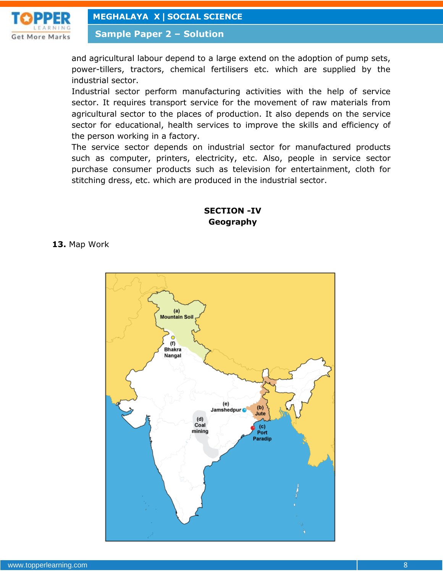

**Sample Paper 2 – Solution**

and agricultural labour depend to a large extend on the adoption of pump sets, power-tillers, tractors, chemical fertilisers etc. which are supplied by the industrial sector.

Industrial sector perform manufacturing activities with the help of service sector. It requires transport service for the movement of raw materials from agricultural sector to the places of production. It also depends on the service sector for educational, health services to improve the skills and efficiency of the person working in a factory.

The service sector depends on industrial sector for manufactured products such as computer, printers, electricity, etc. Also, people in service sector purchase consumer products such as television for entertainment, cloth for stitching dress, etc. which are produced in the industrial sector.

#### **SECTION -IV Geography**

**13.** Map Work

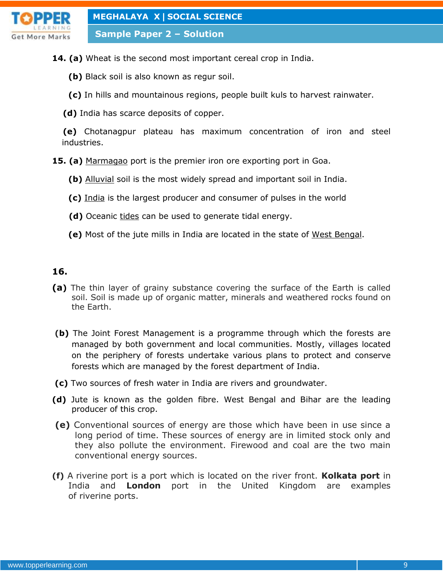

**Sample Paper 2 – Solution**

- **14. (a)** Wheat is the second most important cereal crop in India.
	- **(b)** Black soil is also known as regur soil.
	- **(c)** In hills and mountainous regions, people built kuls to harvest rainwater.
	- **(d)** India has scarce deposits of copper.

 **(e)** Chotanagpur plateau has maximum concentration of iron and steel industries.

- **15. (a)** Marmagao port is the premier iron ore exporting port in Goa.
	- **(b)** Alluvial soil is the most widely spread and important soil in India.
	- **(c)** India is the largest producer and consumer of pulses in the world
	- **(d)** Oceanic tides can be used to generate tidal energy.
	- **(e)** Most of the jute mills in India are located in the state of West Bengal.

#### **16.**

- **(a)** The thin layer of grainy substance covering the surface of the Earth is called soil. Soil is made up of organic matter, minerals and weathered rocks found on the Earth.
- **(b)** The Joint Forest Management is a programme through which the forests are managed by both government and local communities. Mostly, villages located on the periphery of forests undertake various plans to protect and conserve forests which are managed by the forest department of India.
- **(c)** Two sources of fresh water in India are rivers and groundwater.
- **(d)** Jute is known as the golden fibre. West Bengal and Bihar are the leading producer of this crop.
- **(e)** Conventional sources of energy are those which have been in use since a long period of time. These sources of energy are in limited stock only and they also pollute the environment. Firewood and coal are the two main conventional energy sources.
- **(f)** A riverine port is a port which is located on the river front. **Kolkata port** in India and **London** port in the United Kingdom are examples of riverine ports.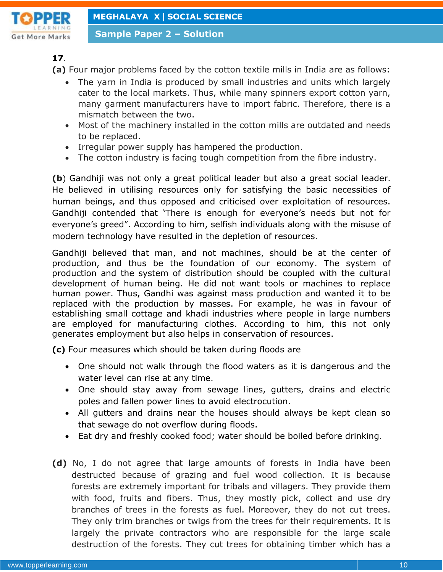

**Sample Paper 2 – Solution**

**17**.

**(a)** Four major problems faced by the cotton textile mills in India are as follows:

- The yarn in India is produced by small industries and units which largely cater to the local markets. Thus, while many spinners export cotton yarn, many garment manufacturers have to import fabric. Therefore, there is a mismatch between the two.
- Most of the machinery installed in the cotton mills are outdated and needs to be replaced.
- Irregular power supply has hampered the production.
- The cotton industry is facing tough competition from the fibre industry.

**(b**) Gandhiji was not only a great political leader but also a great social leader. He believed in utilising resources only for satisfying the basic necessities of human beings, and thus opposed and criticised over exploitation of resources. Gandhiji contended that 'There is enough for everyone's needs but not for everyone's greed". According to him, selfish individuals along with the misuse of modern technology have resulted in the depletion of resources.

Gandhiji believed that man, and not machines, should be at the center of production, and thus be the foundation of our economy. The system of production and the system of distribution should be coupled with the cultural development of human being. He did not want tools or machines to replace human power. Thus, Gandhi was against mass production and wanted it to be replaced with the production by masses. For example, he was in favour of establishing small cottage and khadi industries where people in large numbers are employed for manufacturing clothes. According to him, this not only generates employment but also helps in conservation of resources.

**(c)** Four measures which should be taken during floods are

- One should not walk through the flood waters as it is dangerous and the water level can rise at any time.
- One should stay away from sewage lines, gutters, drains and electric poles and fallen power lines to avoid electrocution.
- All gutters and drains near the houses should always be kept clean so that sewage do not overflow during floods.
- Eat dry and freshly cooked food; water should be boiled before drinking.
- **(d)** No, I do not agree that large amounts of forests in India have been destructed because of grazing and fuel wood collection. It is because forests are extremely important for tribals and villagers. They provide them with food, fruits and fibers. Thus, they mostly pick, collect and use dry branches of trees in the forests as fuel. Moreover, they do not cut trees. They only trim branches or twigs from the trees for their requirements. It is largely the private contractors who are responsible for the large scale destruction of the forests. They cut trees for obtaining timber which has a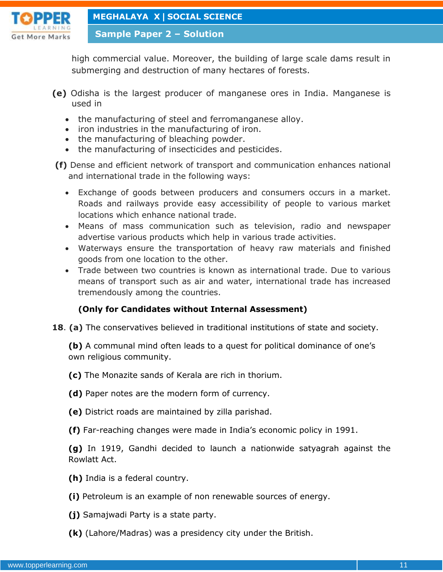

**Sample Paper 2 – Solution**

high commercial value. Moreover, the building of large scale dams result in submerging and destruction of many hectares of forests.

- **(e)** Odisha is the largest producer of manganese ores in India. Manganese is used in
	- the manufacturing of steel and ferromanganese alloy.
	- iron industries in the manufacturing of iron.
	- the manufacturing of bleaching powder.
	- the manufacturing of insecticides and pesticides.
- **(f)** Dense and efficient network of transport and communication enhances national and international trade in the following ways:
	- Exchange of goods between producers and consumers occurs in a market. Roads and railways provide easy accessibility of people to various market locations which enhance national trade.
	- Means of mass communication such as television, radio and newspaper advertise various products which help in various trade activities.
	- Waterways ensure the transportation of heavy raw materials and finished goods from one location to the other.
	- Trade between two countries is known as international trade. Due to various means of transport such as air and water, international trade has increased tremendously among the countries.

### **(Only for Candidates without Internal Assessment)**

**18**. **(a)** The conservatives believed in traditional institutions of state and society.

**(b)** A communal mind often leads to a quest for political dominance of one's own religious community.

- **(c)** The Monazite sands of Kerala are rich in thorium.
- **(d)** Paper notes are the modern form of currency.
- **(e)** District roads are maintained by zilla parishad.
- **(f)** Far-reaching changes were made in India's economic policy in 1991.

**(g)** In 1919, Gandhi decided to launch a nationwide satyagrah against the Rowlatt Act.

- **(h)** India is a federal country.
- **(i)** Petroleum is an example of non renewable sources of energy.
- **(j)** Samajwadi Party is a state party.
- **(k)** (Lahore/Madras) was a presidency city under the British.